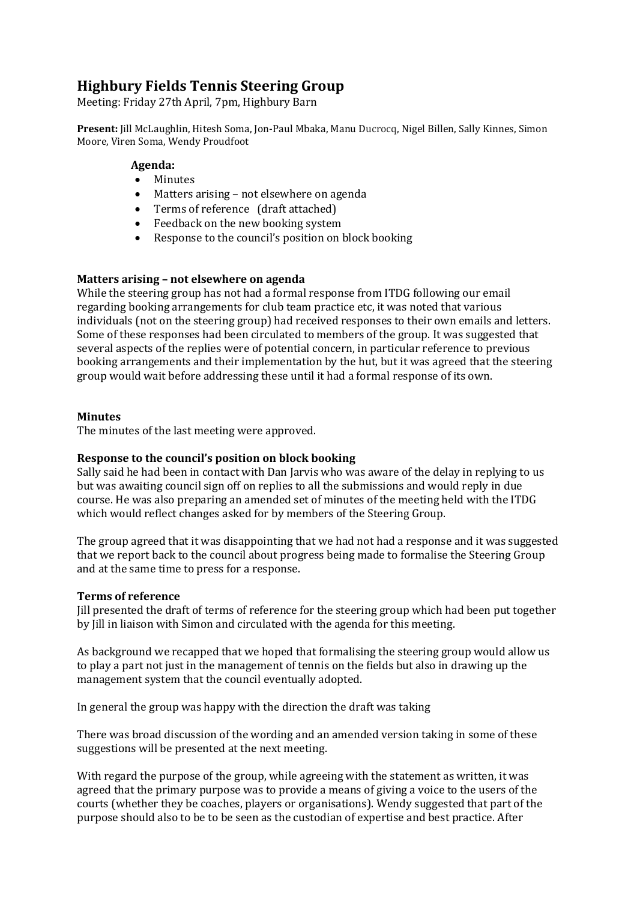# **Highbury Fields Tennis Steering Group**

Meeting: Friday 27th April, 7pm, Highbury Barn

**Present:** Jill McLaughlin, Hitesh Soma, Jon-Paul Mbaka, Manu Ducrocq, Nigel Billen, Sally Kinnes, Simon Moore, Viren Soma, Wendy Proudfoot

# **Agenda:**

- Minutes
- Matters arising not elsewhere on agenda
- Terms of reference (draft attached)
- Feedback on the new booking system
- Response to the council's position on block booking

# **Matters arising – not elsewhere on agenda**

While the steering group has not had a formal response from ITDG following our email regarding booking arrangements for club team practice etc, it was noted that various individuals (not on the steering group) had received responses to their own emails and letters. Some of these responses had been circulated to members of the group. It was suggested that several aspects of the replies were of potential concern, in particular reference to previous booking arrangements and their implementation by the hut, but it was agreed that the steering group would wait before addressing these until it had a formal response of its own.

### **Minutes**

The minutes of the last meeting were approved.

### **Response to the council's position on block booking**

Sally said he had been in contact with Dan Jarvis who was aware of the delay in replying to us but was awaiting council sign off on replies to all the submissions and would reply in due course. He was also preparing an amended set of minutes of the meeting held with the ITDG which would reflect changes asked for by members of the Steering Group.

The group agreed that it was disappointing that we had not had a response and it was suggested that we report back to the council about progress being made to formalise the Steering Group and at the same time to press for a response.

### **Terms of reference**

Jill presented the draft of terms of reference for the steering group which had been put together by Jill in liaison with Simon and circulated with the agenda for this meeting.

As background we recapped that we hoped that formalising the steering group would allow us to play a part not just in the management of tennis on the fields but also in drawing up the management system that the council eventually adopted.

In general the group was happy with the direction the draft was taking

There was broad discussion of the wording and an amended version taking in some of these suggestions will be presented at the next meeting.

With regard the purpose of the group, while agreeing with the statement as written, it was agreed that the primary purpose was to provide a means of giving a voice to the users of the courts (whether they be coaches, players or organisations). Wendy suggested that part of the purpose should also to be to be seen as the custodian of expertise and best practice. After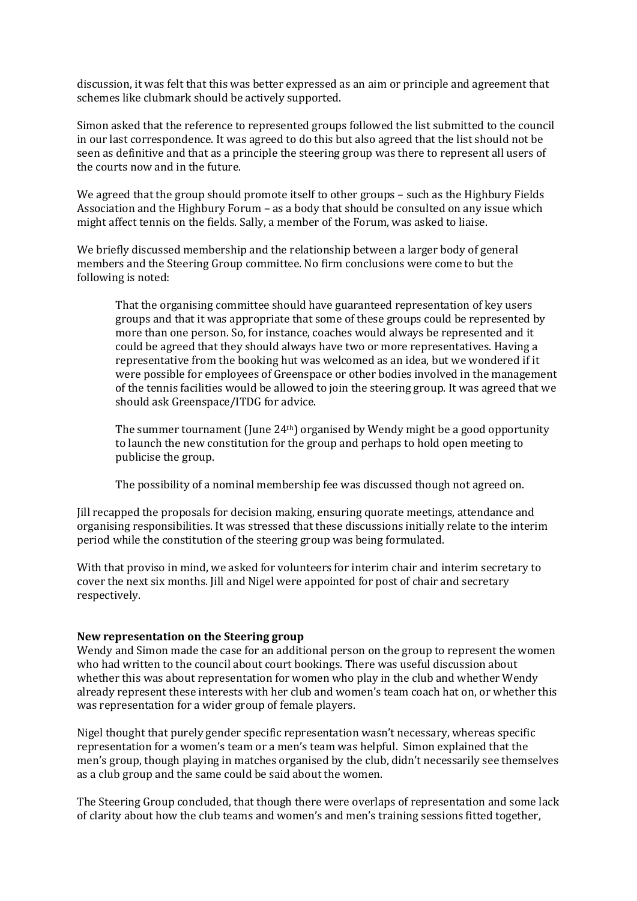discussion, it was felt that this was better expressed as an aim or principle and agreement that schemes like clubmark should be actively supported.

Simon asked that the reference to represented groups followed the list submitted to the council in our last correspondence. It was agreed to do this but also agreed that the list should not be seen as definitive and that as a principle the steering group was there to represent all users of the courts now and in the future.

We agreed that the group should promote itself to other groups – such as the Highbury Fields Association and the Highbury Forum – as a body that should be consulted on any issue which might affect tennis on the fields. Sally, a member of the Forum, was asked to liaise.

We briefly discussed membership and the relationship between a larger body of general members and the Steering Group committee. No firm conclusions were come to but the following is noted:

That the organising committee should have guaranteed representation of key users groups and that it was appropriate that some of these groups could be represented by more than one person. So, for instance, coaches would always be represented and it could be agreed that they should always have two or more representatives. Having a representative from the booking hut was welcomed as an idea, but we wondered if it were possible for employees of Greenspace or other bodies involved in the management of the tennis facilities would be allowed to join the steering group. It was agreed that we should ask Greenspace/ITDG for advice.

The summer tournament (June  $24<sup>th</sup>$ ) organised by Wendy might be a good opportunity to launch the new constitution for the group and perhaps to hold open meeting to publicise the group.

The possibility of a nominal membership fee was discussed though not agreed on.

Jill recapped the proposals for decision making, ensuring quorate meetings, attendance and organising responsibilities. It was stressed that these discussions initially relate to the interim period while the constitution of the steering group was being formulated.

With that proviso in mind, we asked for volunteers for interim chair and interim secretary to cover the next six months. Jill and Nigel were appointed for post of chair and secretary respectively.

#### **New representation on the Steering group**

Wendy and Simon made the case for an additional person on the group to represent the women who had written to the council about court bookings. There was useful discussion about whether this was about representation for women who play in the club and whether Wendy already represent these interests with her club and women's team coach hat on, or whether this was representation for a wider group of female players.

Nigel thought that purely gender specific representation wasn't necessary, whereas specific representation for a women's team or a men's team was helpful. Simon explained that the men's group, though playing in matches organised by the club, didn't necessarily see themselves as a club group and the same could be said about the women.

The Steering Group concluded, that though there were overlaps of representation and some lack of clarity about how the club teams and women's and men's training sessions fitted together,